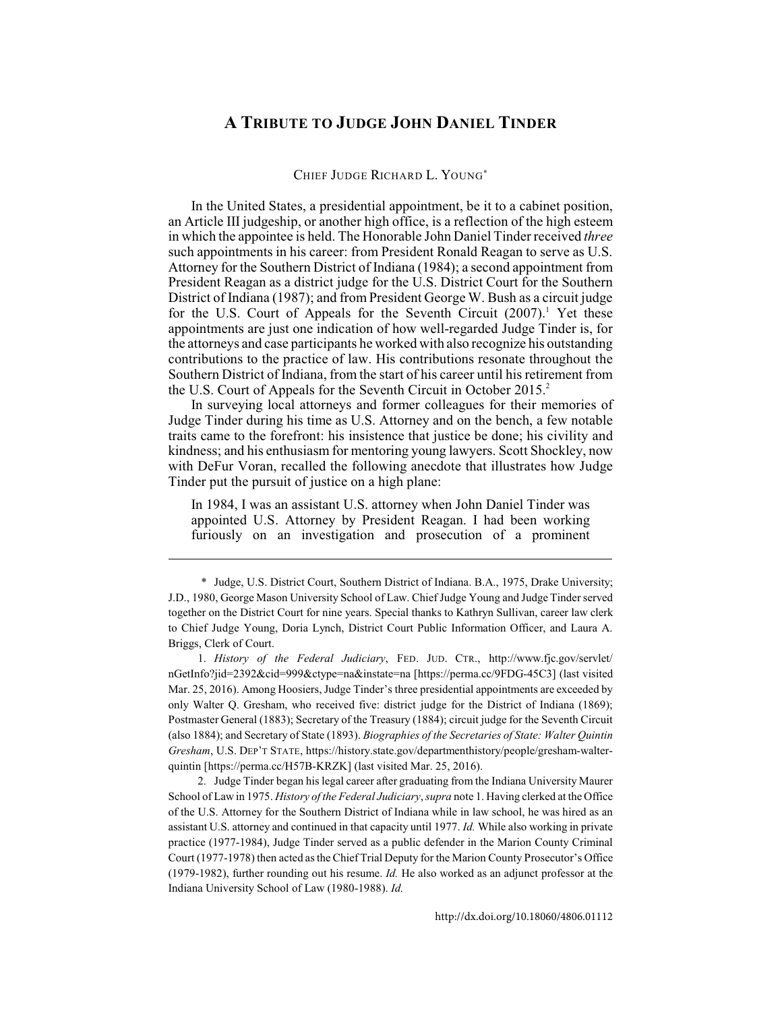## **A TRIBUTE TO JUDGE JOHN DANIEL TINDER**

CHIEF JUDGE RICHARD L. YOUNG\*

In the United States, a presidential appointment, be it to a cabinet position, an Article III judgeship, or another high office, is a reflection of the high esteem in which the appointee is held. The Honorable John Daniel Tinder received *three* such appointments in his career: from President Ronald Reagan to serve as U.S. Attorney for the Southern District of Indiana (1984); a second appointment from President Reagan as a district judge for the U.S. District Court for the Southern District of Indiana (1987); and from President George W. Bush as a circuit judge for the U.S. Court of Appeals for the Seventh Circuit  $(2007)$ . Yet these appointments are just one indication of how well-regarded Judge Tinder is, for the attorneys and case participants he worked with also recognize his outstanding contributions to the practice of law. His contributions resonate throughout the Southern District of Indiana, from the start of his career until his retirement from the U.S. Court of Appeals for the Seventh Circuit in October 2015.<sup>2</sup>

In surveying local attorneys and former colleagues for their memories of Judge Tinder during his time as U.S. Attorney and on the bench, a few notable traits came to the forefront: his insistence that justice be done; his civility and kindness; and his enthusiasm for mentoring young lawyers. Scott Shockley, now with DeFur Voran, recalled the following anecdote that illustrates how Judge Tinder put the pursuit of justice on a high plane:

In 1984, I was an assistant U.S. attorney when John Daniel Tinder was appointed U.S. Attorney by President Reagan. I had been working furiously on an investigation and prosecution of a prominent

1. *History of the Federal Judiciary*, FED. JUD. CTR., http://www.fjc.gov/servlet/ nGetInfo?jid=2392&cid=999&ctype=na&instate=na [https://perma.cc/9FDG-45C3] (last visited Mar. 25, 2016). Among Hoosiers, Judge Tinder's three presidential appointments are exceeded by only Walter Q. Gresham, who received five: district judge for the District of Indiana (1869); Postmaster General (1883); Secretary of the Treasury (1884); circuit judge for the Seventh Circuit (also 1884); and Secretary of State (1893). *Biographies of the Secretaries of State: Walter Quintin Gresham*, U.S. DEP'T STATE, https://history.state.gov/departmenthistory/people/gresham-walterquintin [https://perma.cc/H57B-KRZK] (last visited Mar. 25, 2016).

2. Judge Tinder began his legal career after graduating from the Indiana University Maurer School of Law in 1975. *History of the Federal Judiciary*, *supra* note 1. Having clerked at the Office of the U.S. Attorney for the Southern District of Indiana while in law school, he was hired as an assistant U.S. attorney and continued in that capacity until 1977. *Id.* While also working in private practice (1977-1984), Judge Tinder served as a public defender in the Marion County Criminal Court (1977-1978) then acted as the Chief Trial Deputy for the Marion County Prosecutor's Office (1979-1982), further rounding out his resume. *Id.* He also worked as an adjunct professor at the Indiana University School of Law (1980-1988). *Id.*

<sup>\*</sup> Judge, U.S. District Court, Southern District of Indiana. B.A., 1975, Drake University; J.D., 1980, George Mason University School of Law. Chief Judge Young and Judge Tinder served together on the District Court for nine years. Special thanks to Kathryn Sullivan, career law clerk to Chief Judge Young, Doria Lynch, District Court Public Information Officer, and Laura A. Briggs, Clerk of Court.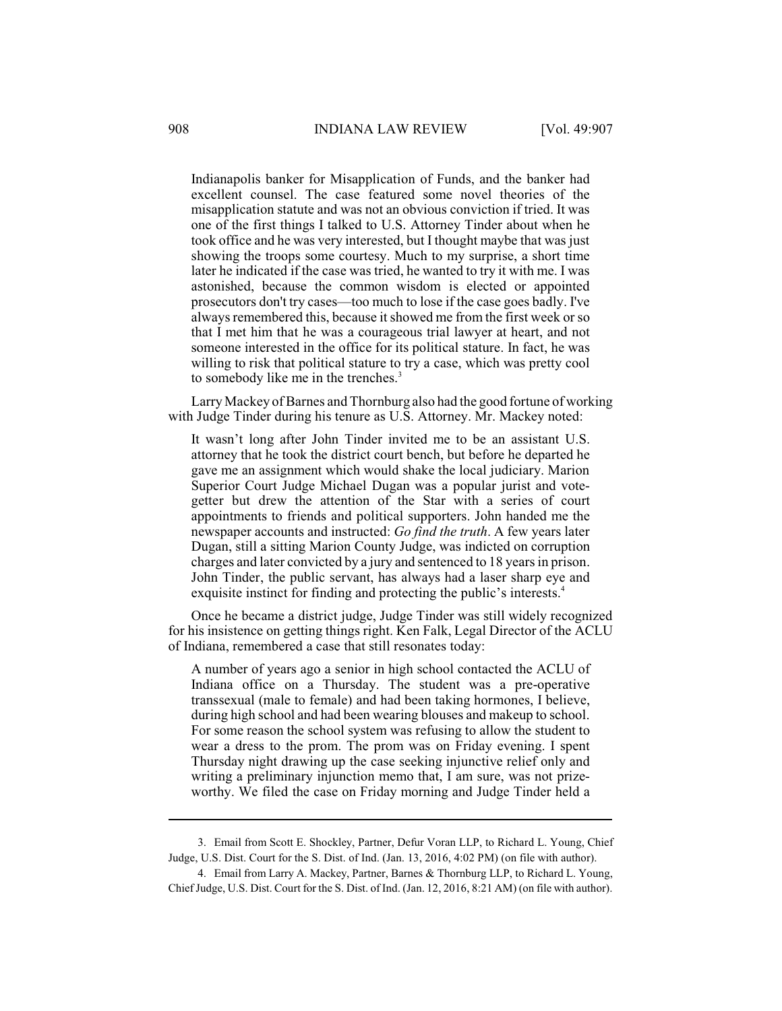Indianapolis banker for Misapplication of Funds, and the banker had excellent counsel. The case featured some novel theories of the misapplication statute and was not an obvious conviction if tried. It was one of the first things I talked to U.S. Attorney Tinder about when he took office and he was very interested, but I thought maybe that was just showing the troops some courtesy. Much to my surprise, a short time later he indicated if the case was tried, he wanted to try it with me. I was astonished, because the common wisdom is elected or appointed prosecutors don't try cases—too much to lose if the case goes badly. I've always remembered this, because it showed me from the first week or so that I met him that he was a courageous trial lawyer at heart, and not someone interested in the office for its political stature. In fact, he was willing to risk that political stature to try a case, which was pretty cool to somebody like me in the trenches.<sup>3</sup>

Larry Mackey of Barnes and Thornburg also had the good fortune of working with Judge Tinder during his tenure as U.S. Attorney. Mr. Mackey noted:

It wasn't long after John Tinder invited me to be an assistant U.S. attorney that he took the district court bench, but before he departed he gave me an assignment which would shake the local judiciary. Marion Superior Court Judge Michael Dugan was a popular jurist and votegetter but drew the attention of the Star with a series of court appointments to friends and political supporters. John handed me the newspaper accounts and instructed: *Go find the truth*. A few years later Dugan, still a sitting Marion County Judge, was indicted on corruption charges and later convicted by a jury and sentenced to 18 yearsin prison. John Tinder, the public servant, has always had a laser sharp eye and exquisite instinct for finding and protecting the public's interests.<sup>4</sup>

Once he became a district judge, Judge Tinder was still widely recognized for his insistence on getting things right. Ken Falk, Legal Director of the ACLU of Indiana, remembered a case that still resonates today:

A number of years ago a senior in high school contacted the ACLU of Indiana office on a Thursday. The student was a pre-operative transsexual (male to female) and had been taking hormones, I believe, during high school and had been wearing blouses and makeup to school. For some reason the school system was refusing to allow the student to wear a dress to the prom. The prom was on Friday evening. I spent Thursday night drawing up the case seeking injunctive relief only and writing a preliminary injunction memo that, I am sure, was not prizeworthy. We filed the case on Friday morning and Judge Tinder held a

<sup>3.</sup> Email from Scott E. Shockley, Partner, Defur Voran LLP, to Richard L. Young, Chief Judge, U.S. Dist. Court for the S. Dist. of Ind. (Jan. 13, 2016, 4:02 PM) (on file with author).

<sup>4.</sup> Email from Larry A. Mackey, Partner, Barnes & Thornburg LLP, to Richard L. Young, Chief Judge, U.S. Dist. Court for the S. Dist. of Ind. (Jan. 12, 2016, 8:21 AM) (on file with author).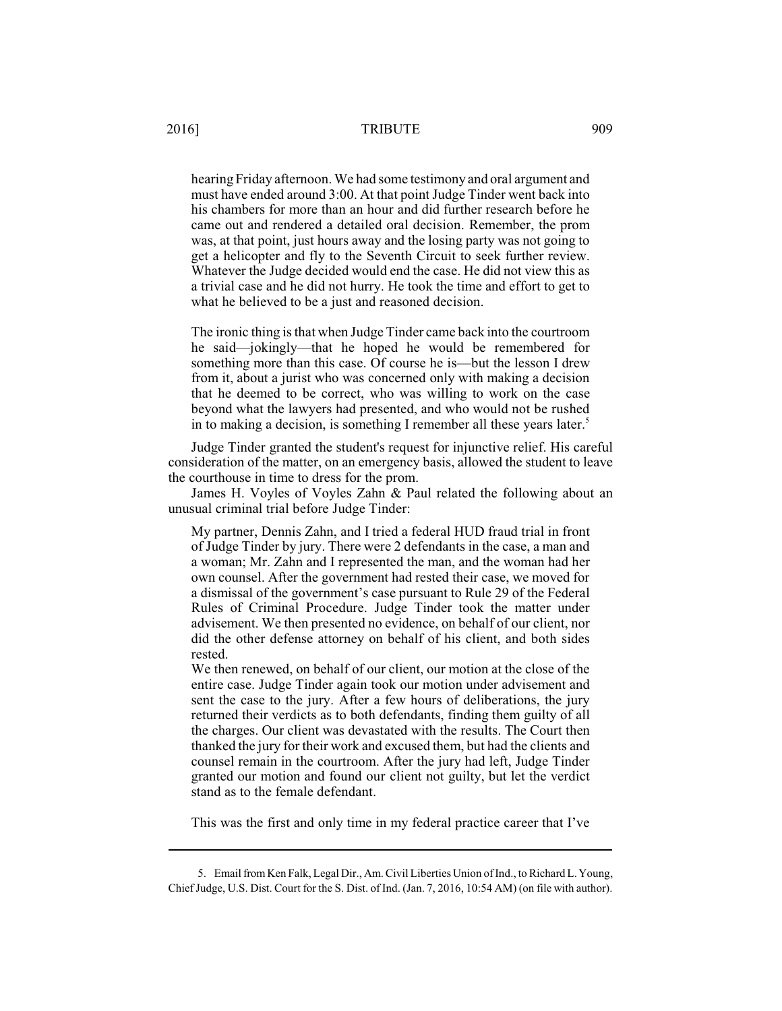## 2016] TRIBUTE 909

hearing Friday afternoon. We had some testimony and oral argument and must have ended around 3:00. At that point Judge Tinder went back into his chambers for more than an hour and did further research before he came out and rendered a detailed oral decision. Remember, the prom was, at that point, just hours away and the losing party was not going to get a helicopter and fly to the Seventh Circuit to seek further review. Whatever the Judge decided would end the case. He did not view this as a trivial case and he did not hurry. He took the time and effort to get to what he believed to be a just and reasoned decision.

The ironic thing is that when Judge Tinder came back into the courtroom he said—jokingly—that he hoped he would be remembered for something more than this case. Of course he is—but the lesson I drew from it, about a jurist who was concerned only with making a decision that he deemed to be correct, who was willing to work on the case beyond what the lawyers had presented, and who would not be rushed in to making a decision, is something I remember all these years later.<sup>5</sup>

Judge Tinder granted the student's request for injunctive relief. His careful consideration of the matter, on an emergency basis, allowed the student to leave the courthouse in time to dress for the prom.

James H. Voyles of Voyles Zahn & Paul related the following about an unusual criminal trial before Judge Tinder:

My partner, Dennis Zahn, and I tried a federal HUD fraud trial in front of Judge Tinder by jury. There were 2 defendants in the case, a man and a woman; Mr. Zahn and I represented the man, and the woman had her own counsel. After the government had rested their case, we moved for a dismissal of the government's case pursuant to Rule 29 of the Federal Rules of Criminal Procedure. Judge Tinder took the matter under advisement. We then presented no evidence, on behalf of our client, nor did the other defense attorney on behalf of his client, and both sides rested.

We then renewed, on behalf of our client, our motion at the close of the entire case. Judge Tinder again took our motion under advisement and sent the case to the jury. After a few hours of deliberations, the jury returned their verdicts as to both defendants, finding them guilty of all the charges. Our client was devastated with the results. The Court then thanked the jury for their work and excused them, but had the clients and counsel remain in the courtroom. After the jury had left, Judge Tinder granted our motion and found our client not guilty, but let the verdict stand as to the female defendant.

This was the first and only time in my federal practice career that I've

<sup>5.</sup> Email from Ken Falk, Legal Dir., Am. Civil Liberties Union of Ind., to Richard L. Young, Chief Judge, U.S. Dist. Court for the S. Dist. of Ind. (Jan. 7, 2016, 10:54 AM) (on file with author).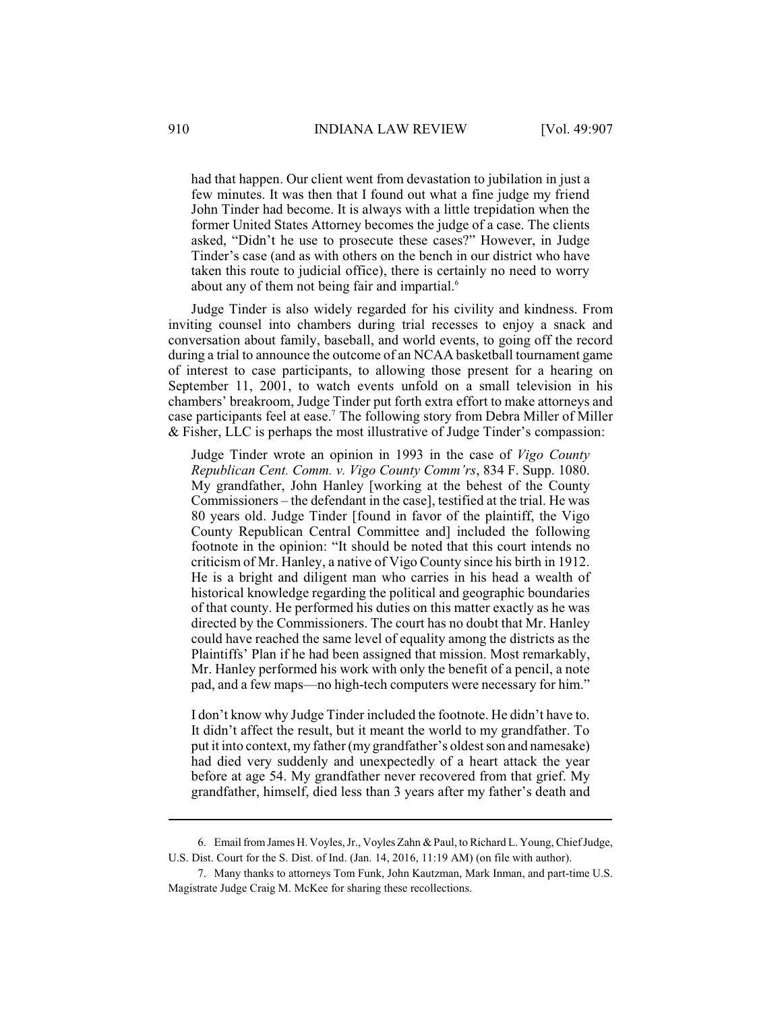had that happen. Our client went from devastation to jubilation in just a few minutes. It was then that I found out what a fine judge my friend John Tinder had become. It is always with a little trepidation when the former United States Attorney becomes the judge of a case. The clients asked, "Didn't he use to prosecute these cases?" However, in Judge Tinder's case (and as with others on the bench in our district who have taken this route to judicial office), there is certainly no need to worry about any of them not being fair and impartial.<sup>6</sup>

Judge Tinder is also widely regarded for his civility and kindness. From inviting counsel into chambers during trial recesses to enjoy a snack and conversation about family, baseball, and world events, to going off the record during a trial to announce the outcome of an NCAA basketball tournament game of interest to case participants, to allowing those present for a hearing on September 11, 2001, to watch events unfold on a small television in his chambers' breakroom, Judge Tinder put forth extra effort to make attorneys and case participants feel at ease.<sup>7</sup> The following story from Debra Miller of Miller & Fisher, LLC is perhaps the most illustrative of Judge Tinder's compassion:

Judge Tinder wrote an opinion in 1993 in the case of *Vigo County Republican Cent. Comm. v. Vigo County Comm'rs*, 834 F. Supp. 1080. My grandfather, John Hanley [working at the behest of the County Commissioners – the defendant in the case], testified at the trial. He was 80 years old. Judge Tinder [found in favor of the plaintiff, the Vigo County Republican Central Committee and] included the following footnote in the opinion: "It should be noted that this court intends no criticism of Mr. Hanley, a native of Vigo County since his birth in 1912. He is a bright and diligent man who carries in his head a wealth of historical knowledge regarding the political and geographic boundaries of that county. He performed his duties on this matter exactly as he was directed by the Commissioners. The court has no doubt that Mr. Hanley could have reached the same level of equality among the districts as the Plaintiffs' Plan if he had been assigned that mission. Most remarkably, Mr. Hanley performed his work with only the benefit of a pencil, a note pad, and a few maps—no high-tech computers were necessary for him."

I don't know why Judge Tinder included the footnote. He didn't have to. It didn't affect the result, but it meant the world to my grandfather. To put it into context, my father (my grandfather's oldest son and namesake) had died very suddenly and unexpectedly of a heart attack the year before at age 54. My grandfather never recovered from that grief. My grandfather, himself, died less than 3 years after my father's death and

<sup>6.</sup> Email from James H. Voyles, Jr., Voyles Zahn & Paul, to Richard L. Young, Chief Judge, U.S. Dist. Court for the S. Dist. of Ind. (Jan. 14, 2016, 11:19 AM) (on file with author).

<sup>7.</sup> Many thanks to attorneys Tom Funk, John Kautzman, Mark Inman, and part-time U.S. Magistrate Judge Craig M. McKee for sharing these recollections.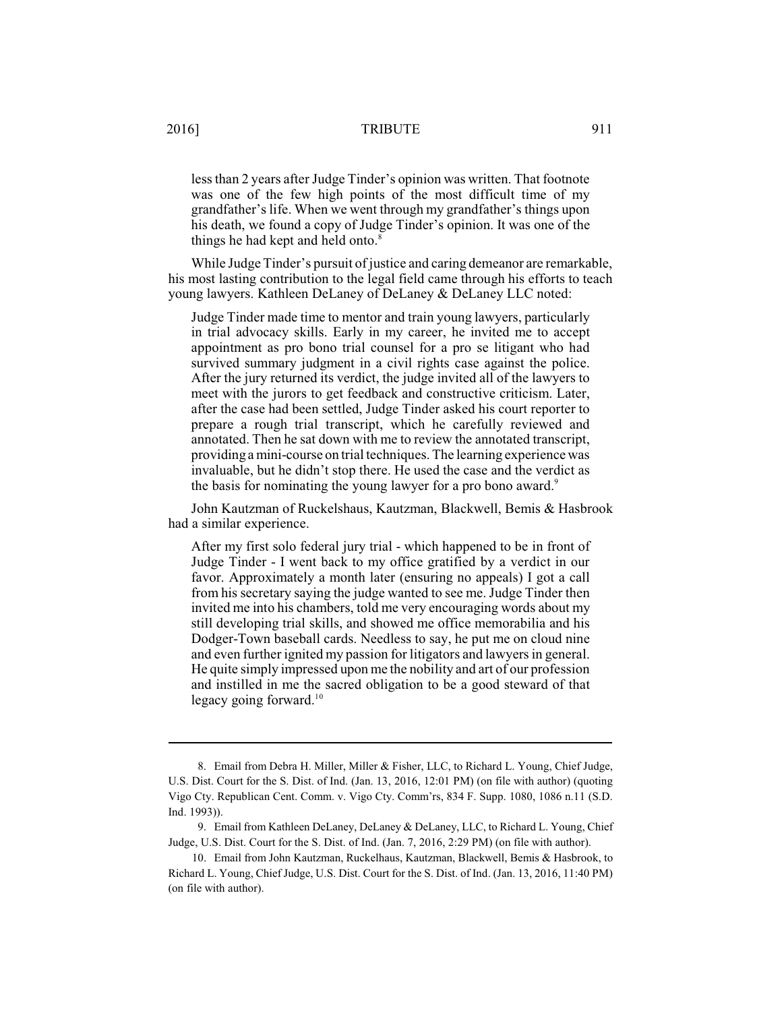## 2016] TRIBUTE 911

less than 2 years after Judge Tinder's opinion was written. That footnote was one of the few high points of the most difficult time of my grandfather's life. When we went through my grandfather's things upon his death, we found a copy of Judge Tinder's opinion. It was one of the things he had kept and held onto.<sup>8</sup>

While Judge Tinder's pursuit of justice and caring demeanor are remarkable, his most lasting contribution to the legal field came through his efforts to teach young lawyers. Kathleen DeLaney of DeLaney & DeLaney LLC noted:

Judge Tinder made time to mentor and train young lawyers, particularly in trial advocacy skills. Early in my career, he invited me to accept appointment as pro bono trial counsel for a pro se litigant who had survived summary judgment in a civil rights case against the police. After the jury returned its verdict, the judge invited all of the lawyers to meet with the jurors to get feedback and constructive criticism. Later, after the case had been settled, Judge Tinder asked his court reporter to prepare a rough trial transcript, which he carefully reviewed and annotated. Then he sat down with me to review the annotated transcript, providing a mini-course on trial techniques.The learning experience was invaluable, but he didn't stop there. He used the case and the verdict as the basis for nominating the young lawyer for a pro bono award.<sup>9</sup>

John Kautzman of Ruckelshaus, Kautzman, Blackwell, Bemis & Hasbrook had a similar experience.

After my first solo federal jury trial - which happened to be in front of Judge Tinder - I went back to my office gratified by a verdict in our favor. Approximately a month later (ensuring no appeals) I got a call from his secretary saying the judge wanted to see me. Judge Tinder then invited me into his chambers, told me very encouraging words about my still developing trial skills, and showed me office memorabilia and his Dodger-Town baseball cards. Needless to say, he put me on cloud nine and even further ignited my passion for litigators and lawyers in general. He quite simply impressed upon me the nobility and art of our profession and instilled in me the sacred obligation to be a good steward of that legacy going forward. $10$ 

<sup>8.</sup> Email from Debra H. Miller, Miller & Fisher, LLC, to Richard L. Young, Chief Judge, U.S. Dist. Court for the S. Dist. of Ind. (Jan. 13, 2016, 12:01 PM) (on file with author) (quoting Vigo Cty. Republican Cent. Comm. v. Vigo Cty. Comm'rs, 834 F. Supp. 1080, 1086 n.11 (S.D. Ind. 1993)).

<sup>9.</sup> Email from Kathleen DeLaney, DeLaney & DeLaney, LLC, to Richard L. Young, Chief Judge, U.S. Dist. Court for the S. Dist. of Ind. (Jan. 7, 2016, 2:29 PM) (on file with author).

<sup>10.</sup> Email from John Kautzman, Ruckelhaus, Kautzman, Blackwell, Bemis & Hasbrook, to Richard L. Young, Chief Judge, U.S. Dist. Court for the S. Dist. of Ind. (Jan. 13, 2016, 11:40 PM) (on file with author).